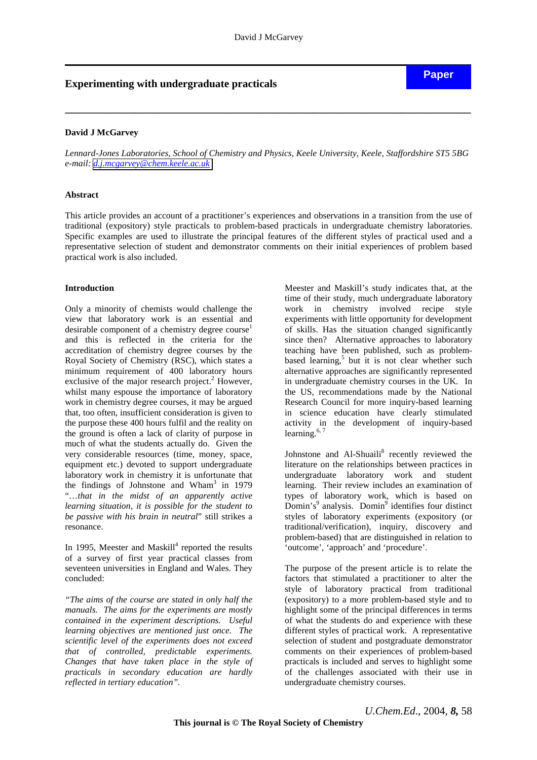# **Experimenting with undergraduate practicals**

## **David J McGarvey**

*Lennard-Jones Laboratories, School of Chemistry and Physics, Keele University, Keele, Staffordshire ST5 5BG e-mail: [d.j.mcgarvey@chem.keele.ac.uk](mailto:d.j.mcgarvey@chem.keele.ac.uk)* 

**\_\_\_\_\_\_\_\_\_\_\_\_\_\_\_\_\_\_\_\_\_\_\_\_\_\_\_\_\_\_\_\_\_\_\_\_\_\_\_\_\_\_\_\_\_\_\_\_\_\_\_\_\_\_\_\_\_\_\_\_\_\_\_\_\_\_\_\_\_\_\_\_\_\_\_** 

#### **Abstract**

This article provides an account of a practitioner's experiences and observations in a transition from the use of traditional (expository) style practicals to problem-based practicals in undergraduate chemistry laboratories. Specific examples are used to illustrate the principal features of the different styles of practical used and a representative selection of student and demonstrator comments on their initial experiences of problem based practical work is also included.

#### **Introduction**

Only a minority of chemists would challenge the view that laboratory work is an essential and desirable component of a chemistry degree  $course<sup>1</sup>$ and this is reflected in the criteria for the accreditation of chemistry degree courses by the Royal Society of Chemistry (RSC), which states a minimum requirement of 400 laboratory hours exclusive of the major research project.<sup>2</sup> However, whilst many espouse the importance of laboratory work in chemistry degree courses, it may be argued that, too often, insufficient consideration is given to the purpose these 400 hours fulfil and the reality on the ground is often a lack of clarity of purpose in much of what the students actually do.Given the very considerable resources (time, money, space, equipment etc.) devoted to support undergraduate laboratory work in chemistry it is unfortunate that the findings of Johnstone and Wham<sup>3</sup> in 1979 "…*that in the midst of an apparently active learning situation, it is possible for the student to be passive with his brain in neutral*" still strikes a resonance.

In 1995, Meester and Maskill<sup>4</sup> reported the results of a survey of first year practical classes from seventeen universities in England and Wales. They concluded:

*"The aims of the course are stated in only half the manuals. The aims for the experiments are mostly contained in the experiment descriptions. Useful learning objectives are mentioned just once. The scientific level of the experiments does not exceed that of controlled, predictable experiments. Changes that have taken place in the style of practicals in secondary education are hardly reflected in tertiary education".* 

Meester and Maskill's study indicates that, at the time of their study, much undergraduate laboratory work in chemistry involved recipe style experiments with little opportunity for development of skills. Has the situation changed significantly since then? Alternative approaches to laboratory teaching have been published, such as problembased learning,<sup>5</sup> but it is not clear whether such alternative approaches are significantly represented in undergraduate chemistry courses in the UK. In the US, recommendations made by the National Research Council for more inquiry-based learning in science education have clearly stimulated activity in the development of inquiry-based learning. $6, 7$ 

Johnstone and Al-Shuaili<sup>8</sup> recently reviewed the literature on the relationships between practices in undergraduate laboratory work and student learning. Their review includes an examination of types of laboratory work, which is based on  $\overrightarrow{Domin}$ <sup>3</sup> analysis. Domin<sup>9</sup> identifies four distinct styles of laboratory experiments (expository (or traditional/verification), inquiry, discovery and problem-based) that are distinguished in relation to 'outcome', 'approach' and 'procedure'.

The purpose of the present article is to relate the factors that stimulated a practitioner to alter the style of laboratory practical from traditional (expository) to a more problem-based style and to highlight some of the principal differences in terms of what the students do and experience with these different styles of practical work. A representative selection of student and postgraduate demonstrator comments on their experiences of problem-based practicals is included and serves to highlight some of the challenges associated with their use in undergraduate chemistry courses.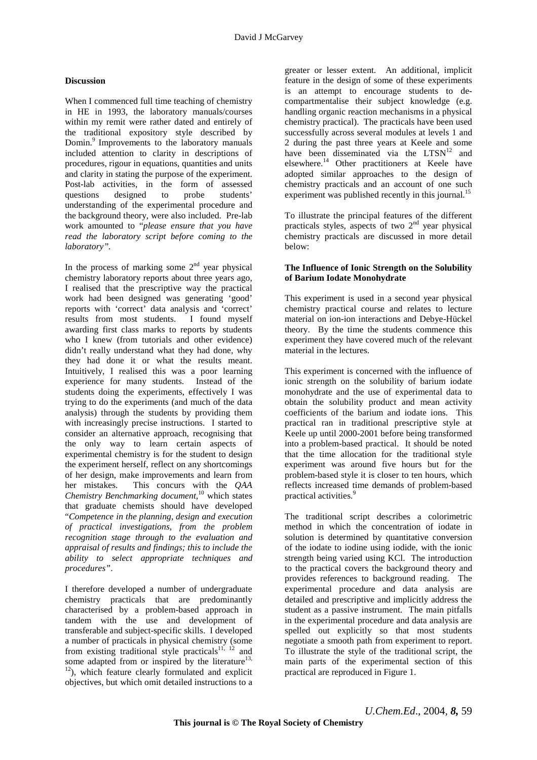## **Discussion**

When I commenced full time teaching of chemistry in HE in 1993, the laboratory manuals/courses within my remit were rather dated and entirely of the traditional expository style described by Domin.9 Improvements to the laboratory manuals included attention to clarity in descriptions of procedures, rigour in equations, quantities and units and clarity in stating the purpose of the experiment. Post-lab activities, in the form of assessed questions designed to probe students' understanding of the experimental procedure and the background theory, were also included. Pre-lab work amounted to "*please ensure that you have read the laboratory script before coming to the laboratory".*

In the process of marking some  $2<sup>nd</sup>$  year physical chemistry laboratory reports about three years ago, I realised that the prescriptive way the practical work had been designed was generating 'good' reports with 'correct' data analysis and 'correct' results from most students. I found myself awarding first class marks to reports by students who I knew (from tutorials and other evidence) didn't really understand what they had done, why they had done it or what the results meant. Intuitively, I realised this was a poor learning experience for many students. Instead of the students doing the experiments, effectively I was trying to do the experiments (and much of the data analysis) through the students by providing them with increasingly precise instructions. I started to consider an alternative approach, recognising that the only way to learn certain aspects of experimental chemistry is for the student to design the experiment herself, reflect on any shortcomings of her design, make improvements and learn from her mistakes. This concurs with the *QAA Chemistry Benchmarking document,*10 which states that graduate chemists should have developed "*Competence in the planning, design and execution of practical investigations, from the problem recognition stage through to the evaluation and appraisal of results and findings; this to include the ability to select appropriate techniques and procedures"*.

I therefore developed a number of undergraduate chemistry practicals that are predominantly characterised by a problem-based approach in tandem with the use and development of transferable and subject-specific skills. I developed a number of practicals in physical chemistry (some from existing traditional style practicals<sup>11, 12</sup> and some adapted from or inspired by the literature<sup>13,</sup> <sup>12</sup>), which feature clearly formulated and explicit objectives, but which omit detailed instructions to a greater or lesser extent. An additional, implicit feature in the design of some of these experiments is an attempt to encourage students to decompartmentalise their subject knowledge (e.g. handling organic reaction mechanisms in a physical chemistry practical). The practicals have been used successfully across several modules at levels 1 and 2 during the past three years at Keele and some have been disseminated via the  $LTSN<sup>12</sup>$  and elsewhere.14 Other practitioners at Keele have adopted similar approaches to the design of chemistry practicals and an account of one such experiment was published recently in this journal.<sup>15</sup>

To illustrate the principal features of the different practicals styles, aspects of two  $2<sup>nd</sup>$  year physical chemistry practicals are discussed in more detail below:

### **The Influence of Ionic Strength on the Solubility of Barium Iodate Monohydrate**

This experiment is used in a second year physical chemistry practical course and relates to lecture material on ion-ion interactions and Debye-Hückel theory. By the time the students commence this experiment they have covered much of the relevant material in the lectures.

This experiment is concerned with the influence of ionic strength on the solubility of barium iodate monohydrate and the use of experimental data to obtain the solubility product and mean activity coefficients of the barium and iodate ions. This practical ran in traditional prescriptive style at Keele up until 2000-2001 before being transformed into a problem-based practical. It should be noted that the time allocation for the traditional style experiment was around five hours but for the problem-based style it is closer to ten hours, which reflects increased time demands of problem-based practical activities.<sup>9</sup>

The traditional script describes a colorimetric method in which the concentration of iodate in solution is determined by quantitative conversion of the iodate to iodine using iodide, with the ionic strength being varied using KCl. The introduction to the practical covers the background theory and provides references to background reading. The experimental procedure and data analysis are detailed and prescriptive and implicitly address the student as a passive instrument. The main pitfalls in the experimental procedure and data analysis are spelled out explicitly so that most students negotiate a smooth path from experiment to report. To illustrate the style of the traditional script, the main parts of the experimental section of this practical are reproduced in Figure 1.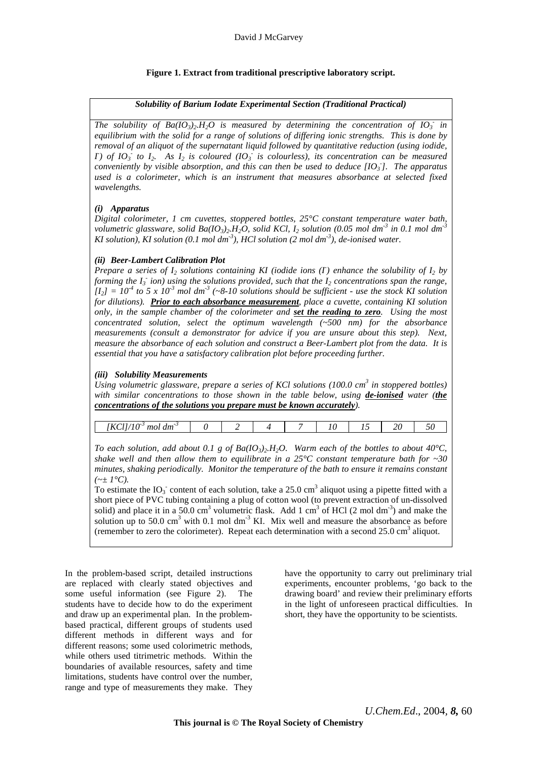# **Figure 1. Extract from traditional prescriptive laboratory script.**

## *Solubility of Barium Iodate Experimental Section (Traditional Practical)*

*The solubility of Ba(* $IO_3$ *)<sub>2</sub>.H<sub>2</sub>O is measured by determining the concentration of*  $IO_3$  *in equilibrium with the solid for a range of solutions of differing ionic strengths. This is done by removal of an aliquot of the supernatant liquid followed by quantitative reduction (using iodide, I*) of  $IO_3$  to  $I_2$ . As  $I_2$  is coloured ( $IO_3$ ) is colourless), its concentration can be measured *conveniently by visible absorption, and this can then be used to deduce [IO3 - ]. The apparatus used is a colorimeter, which is an instrument that measures absorbance at selected fixed wavelengths.* 

## *(i) Apparatus*

*Digital colorimeter, 1 cm cuvettes, stoppered bottles, 25°C constant temperature water bath, volumetric glassware, solid Ba(IO3)2.H2O, solid KCl, I2 solution (0.05 mol dm-3 in 0.1 mol dm-3 KI solution), KI solution (0.1 mol dm-3), HCl solution (2 mol dm-3), de-ionised water.* 

## *(ii) Beer-Lambert Calibration Plot*

*Prepare a series of*  $I_2$  *solutions containing KI (iodide ions (I) enhance the solubility of*  $I_2$  *by* forming the  $I_3$  ion) using the solutions provided, such that the  $I_2$  concentrations span the range,  $[I_2] = 10^4$  to 5 x 10<sup>-3</sup> mol dm<sup>-3</sup> (~8-10 solutions should be sufficient - use the stock KI solution *for dilutions). Prior to each absorbance measurement, place a cuvette, containing KI solution only, in the sample chamber of the colorimeter and set the reading to zero. Using the most concentrated solution, select the optimum wavelength (~500 nm) for the absorbance measurements (consult a demonstrator for advice if you are unsure about this step). Next, measure the absorbance of each solution and construct a Beer-Lambert plot from the data. It is essential that you have a satisfactory calibration plot before proceeding further.* 

## *(iii) Solubility Measurements*

Using volumetric glassware, prepare a series of KCl solutions (100.0 cm<sup>3</sup> in stoppered bottles) *with similar concentrations to those shown in the table below, using de-ionised water (the concentrations of the solutions you prepare must be known accurately).* 

| $\sim$<br>mo<br>am<br>$\mathbf{11}$ |  |  |  | ∠∪<br>-- |  |
|-------------------------------------|--|--|--|----------|--|
|                                     |  |  |  |          |  |

*To each solution, add about 0.1 g of Ba(IO<sub>3</sub>)<sub>2</sub>.H<sub>2</sub>O. Warm each of the bottles to about 40°C, shake well and then allow them to equilibrate in a 25°C constant temperature bath for ~30 minutes, shaking periodically. Monitor the temperature of the bath to ensure it remains constant*   $(\sim + 1^{\circ}C)$ .

To estimate the  $IO_3$  content of each solution, take a 25.0 cm<sup>3</sup> aliquot using a pipette fitted with a short piece of PVC tubing containing a plug of cotton wool (to prevent extraction of un-dissolved solid) and place it in a 50.0 cm<sup>3</sup> volumetric flask. Add 1 cm<sup>3</sup> of HCl (2 mol dm<sup>-3</sup>) and make the solution up to 50.0 cm<sup>3</sup> with 0.1 mol dm<sup>-3</sup> KI. Mix well and measure the absorbance as before (remember to zero the colorimeter). Repeat each determination with a second  $25.0 \text{ cm}^3$  aliquot.

In the problem-based script, detailed instructions are replaced with clearly stated objectives and some useful information (see Figure 2). The students have to decide how to do the experiment and draw up an experimental plan. In the problembased practical, different groups of students used different methods in different ways and for different reasons; some used colorimetric methods, while others used titrimetric methods. Within the boundaries of available resources, safety and time limitations, students have control over the number, range and type of measurements they make. They have the opportunity to carry out preliminary trial experiments, encounter problems, 'go back to the drawing board' and review their preliminary efforts in the light of unforeseen practical difficulties. In short, they have the opportunity to be scientists.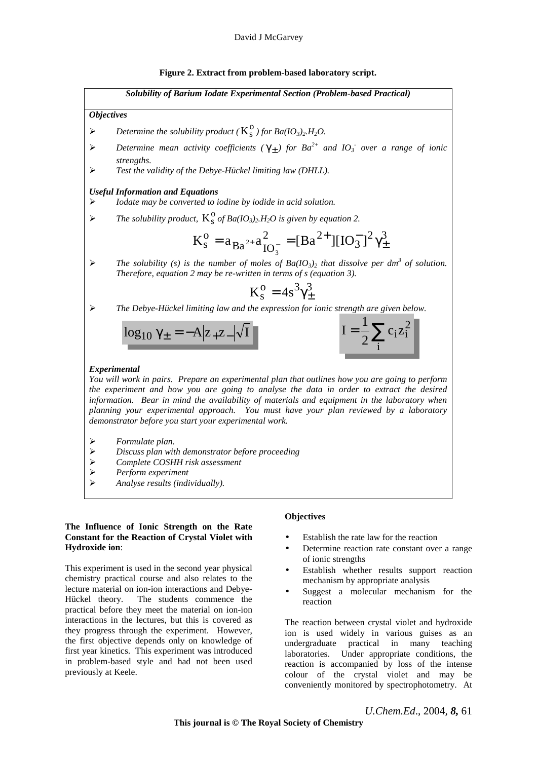#### **Figure 2. Extract from problem-based laboratory script.**



#### **The Influence of Ionic Strength on the Rate Constant for the Reaction of Crystal Violet with Hydroxide ion**:

This experiment is used in the second year physical chemistry practical course and also relates to the lecture material on ion-ion interactions and Debye-Hückel theory. The students commence the practical before they meet the material on ion-ion interactions in the lectures, but this is covered as they progress through the experiment. However, the first objective depends only on knowledge of first year kinetics. This experiment was introduced in problem-based style and had not been used previously at Keele.

#### **Objectives**

- Establish the rate law for the reaction
- Determine reaction rate constant over a range of ionic strengths
- Establish whether results support reaction mechanism by appropriate analysis
- Suggest a molecular mechanism for the reaction

The reaction between crystal violet and hydroxide ion is used widely in various guises as an undergraduate practical in many teaching laboratories. Under appropriate conditions, the reaction is accompanied by loss of the intense colour of the crystal violet and may be conveniently monitored by spectrophotometry. At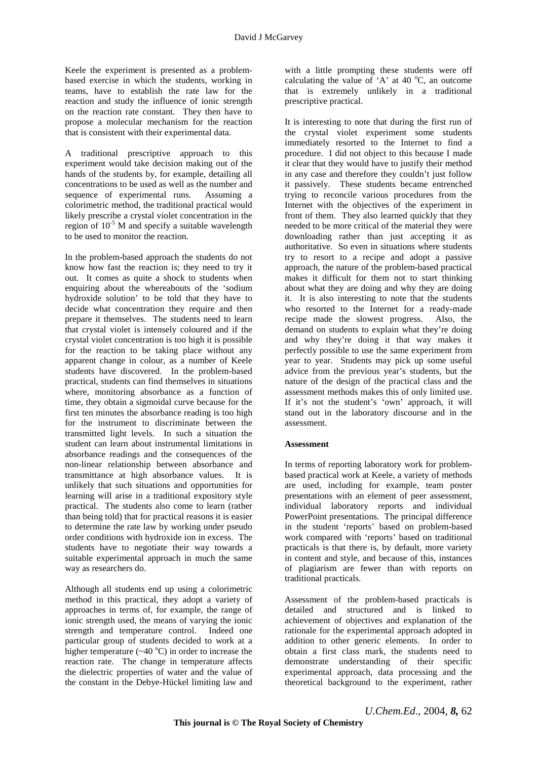Keele the experiment is presented as a problembased exercise in which the students, working in teams, have to establish the rate law for the reaction and study the influence of ionic strength on the reaction rate constant. They then have to propose a molecular mechanism for the reaction that is consistent with their experimental data.

A traditional prescriptive approach to this experiment would take decision making out of the hands of the students by, for example, detailing all concentrations to be used as well as the number and sequence of experimental runs. Assuming a colorimetric method, the traditional practical would likely prescribe a crystal violet concentration in the region of  $10^{-5}$  M and specify a suitable wavelength to be used to monitor the reaction.

In the problem-based approach the students do not know how fast the reaction is; they need to try it out. It comes as quite a shock to students when enquiring about the whereabouts of the 'sodium hydroxide solution' to be told that they have to decide what concentration they require and then prepare it themselves. The students need to learn that crystal violet is intensely coloured and if the crystal violet concentration is too high it is possible for the reaction to be taking place without any apparent change in colour, as a number of Keele students have discovered. In the problem-based practical, students can find themselves in situations where, monitoring absorbance as a function of time, they obtain a sigmoidal curve because for the first ten minutes the absorbance reading is too high for the instrument to discriminate between the transmitted light levels. In such a situation the student can learn about instrumental limitations in absorbance readings and the consequences of the non-linear relationship between absorbance and transmittance at high absorbance values. It is unlikely that such situations and opportunities for learning will arise in a traditional expository style practical. The students also come to learn (rather than being told) that for practical reasons it is easier to determine the rate law by working under pseudo order conditions with hydroxide ion in excess. The students have to negotiate their way towards a suitable experimental approach in much the same way as researchers do.

Although all students end up using a colorimetric method in this practical, they adopt a variety of approaches in terms of, for example, the range of ionic strength used, the means of varying the ionic strength and temperature control. Indeed one particular group of students decided to work at a higher temperature  $(\sim 40\text{ °C})$  in order to increase the reaction rate. The change in temperature affects the dielectric properties of water and the value of the constant in the Debye-Hückel limiting law and

with a little prompting these students were off calculating the value of 'A' at 40  $^{\circ}$ C, an outcome that is extremely unlikely in a traditional prescriptive practical.

It is interesting to note that during the first run of the crystal violet experiment some students immediately resorted to the Internet to find a procedure. I did not object to this because I made it clear that they would have to justify their method in any case and therefore they couldn't just follow it passively. These students became entrenched trying to reconcile various procedures from the Internet with the objectives of the experiment in front of them. They also learned quickly that they needed to be more critical of the material they were downloading rather than just accepting it as authoritative. So even in situations where students try to resort to a recipe and adopt a passive approach, the nature of the problem-based practical makes it difficult for them not to start thinking about what they are doing and why they are doing it. It is also interesting to note that the students who resorted to the Internet for a ready-made recipe made the slowest progress. Also, the demand on students to explain what they're doing and why they're doing it that way makes it perfectly possible to use the same experiment from year to year. Students may pick up some useful advice from the previous year's students, but the nature of the design of the practical class and the assessment methods makes this of only limited use. If it's not the student's 'own' approach, it will stand out in the laboratory discourse and in the assessment.

#### **Assessment**

In terms of reporting laboratory work for problembased practical work at Keele, a variety of methods are used, including for example, team poster presentations with an element of peer assessment, individual laboratory reports and individual PowerPoint presentations. The principal difference in the student 'reports' based on problem-based work compared with 'reports' based on traditional practicals is that there is, by default, more variety in content and style, and because of this, instances of plagiarism are fewer than with reports on traditional practicals.

Assessment of the problem-based practicals is detailed and structured and is linked to achievement of objectives and explanation of the rationale for the experimental approach adopted in addition to other generic elements. In order to obtain a first class mark, the students need to demonstrate understanding of their specific experimental approach, data processing and the theoretical background to the experiment, rather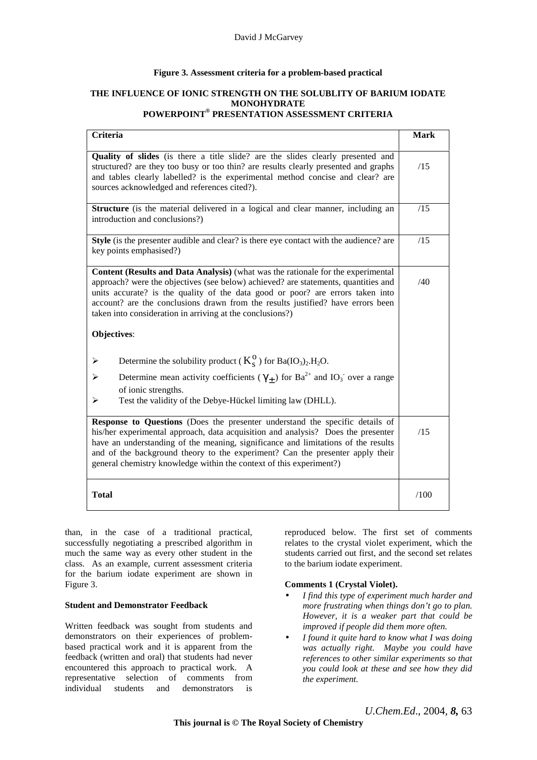## **Figure 3. Assessment criteria for a problem-based practical**

### **THE INFLUENCE OF IONIC STRENGTH ON THE SOLUBLITY OF BARIUM IODATE MONOHYDRATE POWERPOINT® PRESENTATION ASSESSMENT CRITERIA**

| Criteria                                                                                                                                                                                                                                                                                                                                                                                                                | <b>Mark</b> |  |  |
|-------------------------------------------------------------------------------------------------------------------------------------------------------------------------------------------------------------------------------------------------------------------------------------------------------------------------------------------------------------------------------------------------------------------------|-------------|--|--|
| Quality of slides (is there a title slide? are the slides clearly presented and<br>structured? are they too busy or too thin? are results clearly presented and graphs<br>and tables clearly labelled? is the experimental method concise and clear? are<br>sources acknowledged and references cited?).                                                                                                                |             |  |  |
| Structure (is the material delivered in a logical and clear manner, including an<br>introduction and conclusions?)                                                                                                                                                                                                                                                                                                      |             |  |  |
| Style (is the presenter audible and clear? is there eye contact with the audience? are<br>key points emphasised?)                                                                                                                                                                                                                                                                                                       |             |  |  |
| Content (Results and Data Analysis) (what was the rationale for the experimental<br>approach? were the objectives (see below) achieved? are statements, quantities and<br>units accurate? is the quality of the data good or poor? are errors taken into<br>account? are the conclusions drawn from the results justified? have errors been<br>taken into consideration in arriving at the conclusions?)<br>Objectives: |             |  |  |
| Determine the solubility product ( $K_s^0$ ) for Ba(IO <sub>3</sub> ) <sub>2</sub> .H <sub>2</sub> O.<br>➤                                                                                                                                                                                                                                                                                                              |             |  |  |
| Determine mean activity coefficients ( $\gamma_{\pm}$ ) for Ba <sup>2+</sup> and IO <sub>3</sub> over a range<br>of ionic strengths.<br>Test the validity of the Debye-Hückel limiting law (DHLL).<br>➤                                                                                                                                                                                                                 |             |  |  |
| Response to Questions (Does the presenter understand the specific details of<br>his/her experimental approach, data acquisition and analysis? Does the presenter<br>have an understanding of the meaning, significance and limitations of the results<br>and of the background theory to the experiment? Can the presenter apply their<br>general chemistry knowledge within the context of this experiment?)           |             |  |  |
| <b>Total</b>                                                                                                                                                                                                                                                                                                                                                                                                            |             |  |  |

than, in the case of a traditional practical, successfully negotiating a prescribed algorithm in much the same way as every other student in the class. As an example, current assessment criteria for the barium iodate experiment are shown in Figure 3.

#### **Student and Demonstrator Feedback**

Written feedback was sought from students and demonstrators on their experiences of problembased practical work and it is apparent from the feedback (written and oral) that students had never encountered this approach to practical work. A representative selection of comments from individual students and demonstrators is

reproduced below. The first set of comments relates to the crystal violet experiment, which the students carried out first, and the second set relates to the barium iodate experiment.

#### **Comments 1 (Crystal Violet).**

- *I find this type of experiment much harder and more frustrating when things don't go to plan. However, it is a weaker part that could be improved if people did them more often.*
- *I found it quite hard to know what I was doing was actually right. Maybe you could have references to other similar experiments so that you could look at these and see how they did the experiment.*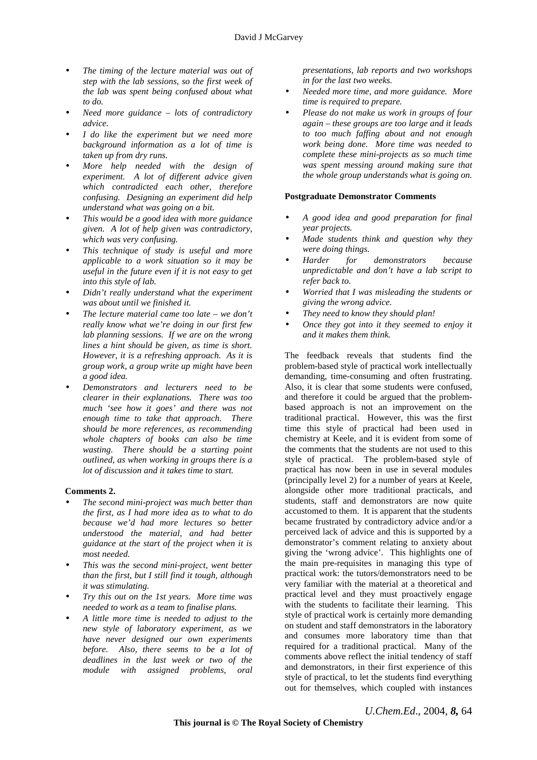- *The timing of the lecture material was out of step with the lab sessions, so the first week of the lab was spent being confused about what to do.*
- *Need more guidance lots of contradictory advice.*
- *I do like the experiment but we need more background information as a lot of time is taken up from dry runs.*
- *More help needed with the design of experiment. A lot of different advice given which contradicted each other, therefore confusing. Designing an experiment did help understand what was going on a bit.*
- *This would be a good idea with more guidance given. A lot of help given was contradictory, which was very confusing.*
- *This technique of study is useful and more applicable to a work situation so it may be useful in the future even if it is not easy to get into this style of lab.*
- *Didn't really understand what the experiment was about until we finished it.*
- *The lecture material came too late we don't really know what we're doing in our first few lab planning sessions. If we are on the wrong lines a hint should be given, as time is short. However, it is a refreshing approach. As it is group work, a group write up might have been a good idea.*
- *Demonstrators and lecturers need to be clearer in their explanations. There was too much 'see how it goes' and there was not enough time to take that approach. There should be more references, as recommending whole chapters of books can also be time wasting. There should be a starting point outlined, as when working in groups there is a lot of discussion and it takes time to start.*

#### **Comments 2.**

- *The second mini-project was much better than the first, as I had more idea as to what to do because we'd had more lectures so better understood the material, and had better guidance at the start of the project when it is most needed.*
- *This was the second mini-project, went better than the first, but I still find it tough, although it was stimulating.*
- *Try this out on the 1st years. More time was needed to work as a team to finalise plans.*
- *A little more time is needed to adjust to the new style of laboratory experiment, as we have never designed our own experiments before. Also, there seems to be a lot of deadlines in the last week or two of the module with assigned problems, oral*

*presentations, lab reports and two workshops in for the last two weeks.* 

- *Needed more time, and more guidance. More time is required to prepare.*
- *Please do not make us work in groups of four again – these groups are too large and it leads to too much faffing about and not enough work being done. More time was needed to complete these mini-projects as so much time was spent messing around making sure that the whole group understands what is going on.*

## **Postgraduate Demonstrator Comments**

- *A good idea and good preparation for final year projects.*
- *Made students think and question why they were doing things.*
- *Harder for demonstrators because unpredictable and don't have a lab script to refer back to.*
- *Worried that I was misleading the students or giving the wrong advice.*
- *They need to know they should plan!*
- *Once they got into it they seemed to enjoy it and it makes them think.*

The feedback reveals that students find the problem-based style of practical work intellectually demanding, time-consuming and often frustrating. Also, it is clear that some students were confused, and therefore it could be argued that the problembased approach is not an improvement on the traditional practical. However, this was the first time this style of practical had been used in chemistry at Keele, and it is evident from some of the comments that the students are not used to this style of practical. The problem-based style of practical has now been in use in several modules (principally level 2) for a number of years at Keele, alongside other more traditional practicals, and students, staff and demonstrators are now quite accustomed to them. It is apparent that the students became frustrated by contradictory advice and/or a perceived lack of advice and this is supported by a demonstrator's comment relating to anxiety about giving the 'wrong advice'. This highlights one of the main pre-requisites in managing this type of practical work: the tutors/demonstrators need to be very familiar with the material at a theoretical and practical level and they must proactively engage with the students to facilitate their learning. This style of practical work is certainly more demanding on student and staff demonstrators in the laboratory and consumes more laboratory time than that required for a traditional practical. Many of the comments above reflect the initial tendency of staff and demonstrators, in their first experience of this style of practical, to let the students find everything out for themselves, which coupled with instances

*U.Chem.Ed*., 2004*, 8,* 64